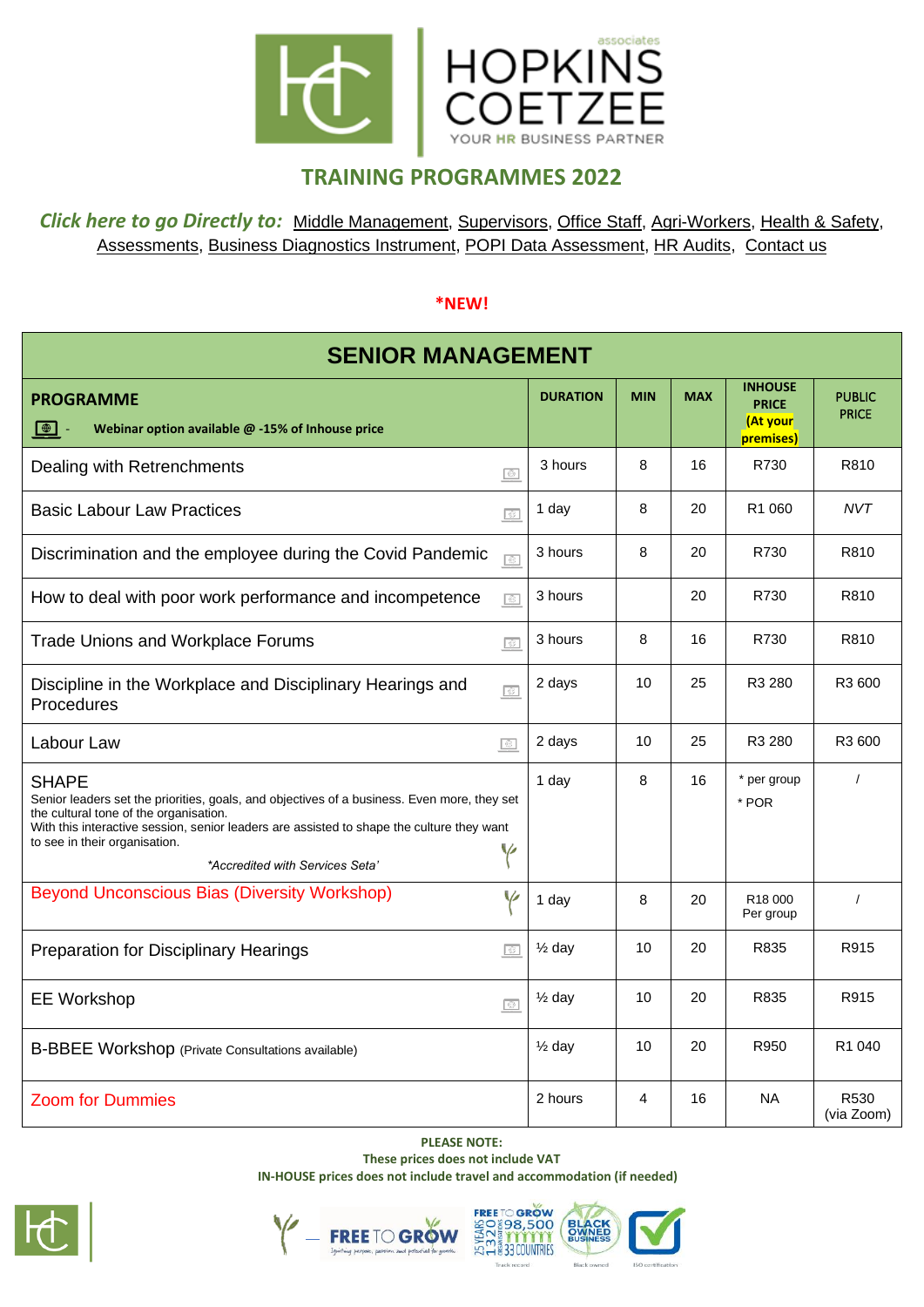

### **TRAINING PROGRAMMES 2022**

*Click here to go Directly to:*[Middle Management,](#page-1-0) [Supervisors,](#page-2-0) [Office Staff,](#page-3-0) [Agri-Workers,](#page-4-0) [Health & Safety,](#page-4-1) [Assessments,](#page-5-0) [Business Diagnostics Instrument,](#page-5-1) [POPI Data Assessment,](#page-5-2) [HR Audits,](#page-5-3) [Contact us](#page-6-0)

#### **\*NEW!**

| <b>SENIOR MANAGEMENT</b>                                                                                                                                                                                                                                                                                                    |                   |            |            |                                                         |                               |  |  |
|-----------------------------------------------------------------------------------------------------------------------------------------------------------------------------------------------------------------------------------------------------------------------------------------------------------------------------|-------------------|------------|------------|---------------------------------------------------------|-------------------------------|--|--|
| <b>PROGRAMME</b><br>l ⊕ I<br>Webinar option available $@-15%$ of Inhouse price                                                                                                                                                                                                                                              | <b>DURATION</b>   | <b>MIN</b> | <b>MAX</b> | <b>INHOUSE</b><br><b>PRICE</b><br>(At your<br>premises) | <b>PUBLIC</b><br><b>PRICE</b> |  |  |
| Dealing with Retrenchments<br>$\boxed{\circledcirc}$                                                                                                                                                                                                                                                                        | 3 hours           | 8          | 16         | R730                                                    | R810                          |  |  |
| <b>Basic Labour Law Practices</b><br>$\boxed{\circledcirc}$                                                                                                                                                                                                                                                                 | 1 day             | 8          | 20         | R <sub>1</sub> 060                                      | <b>NVT</b>                    |  |  |
| Discrimination and the employee during the Covid Pandemic<br>$\boxed{\oplus}$                                                                                                                                                                                                                                               | 3 hours           | 8          | 20         | R730                                                    | R810                          |  |  |
| How to deal with poor work performance and incompetence<br>$\boxed{\oplus}$                                                                                                                                                                                                                                                 | 3 hours           |            | 20         | R730                                                    | R810                          |  |  |
| <b>Trade Unions and Workplace Forums</b><br>$\boxed{\circledcirc}$                                                                                                                                                                                                                                                          | 3 hours           | 8          | 16         | R730                                                    | R810                          |  |  |
| Discipline in the Workplace and Disciplinary Hearings and<br>$\boxed{\oplus}$<br>Procedures                                                                                                                                                                                                                                 | 2 days            | 10         | 25         | R3 280                                                  | R3 600                        |  |  |
| Labour Law<br>$\boxed{\circledcirc}$                                                                                                                                                                                                                                                                                        | 2 days            | 10         | 25         | R3 280                                                  | R3 600                        |  |  |
| <b>SHAPE</b><br>Senior leaders set the priorities, goals, and objectives of a business. Even more, they set<br>the cultural tone of the organisation.<br>With this interactive session, senior leaders are assisted to shape the culture they want<br>to see in their organisation.<br>V<br>*Accredited with Services Seta' | 1 day             | 8          | 16         | * per group<br>* POR                                    |                               |  |  |
| <b>Beyond Unconscious Bias (Diversity Workshop)</b><br>₩                                                                                                                                                                                                                                                                    | 1 day             | 8          | 20         | R18 000<br>Per group                                    | $\prime$                      |  |  |
| <b>Preparation for Disciplinary Hearings</b><br>$\boxed{\oplus}$                                                                                                                                                                                                                                                            | $\frac{1}{2}$ day | 10         | 20         | R835                                                    | R915                          |  |  |
| <b>EE Workshop</b><br>$\circ$                                                                                                                                                                                                                                                                                               | $\frac{1}{2}$ day | 10         | 20         | R835                                                    | R915                          |  |  |
| B-BBEE Workshop (Private Consultations available)                                                                                                                                                                                                                                                                           | $\frac{1}{2}$ day | 10         | 20         | R950                                                    | R <sub>1</sub> 040            |  |  |
| <b>Zoom for Dummies</b>                                                                                                                                                                                                                                                                                                     | 2 hours           | 4          | 16         | <b>NA</b>                                               | R530<br>(via Zoom)            |  |  |

**PLEASE NOTE:**

**These prices does not include VAT**

 **IN-HOUSE prices does not include travel and accommodation (if needed)**







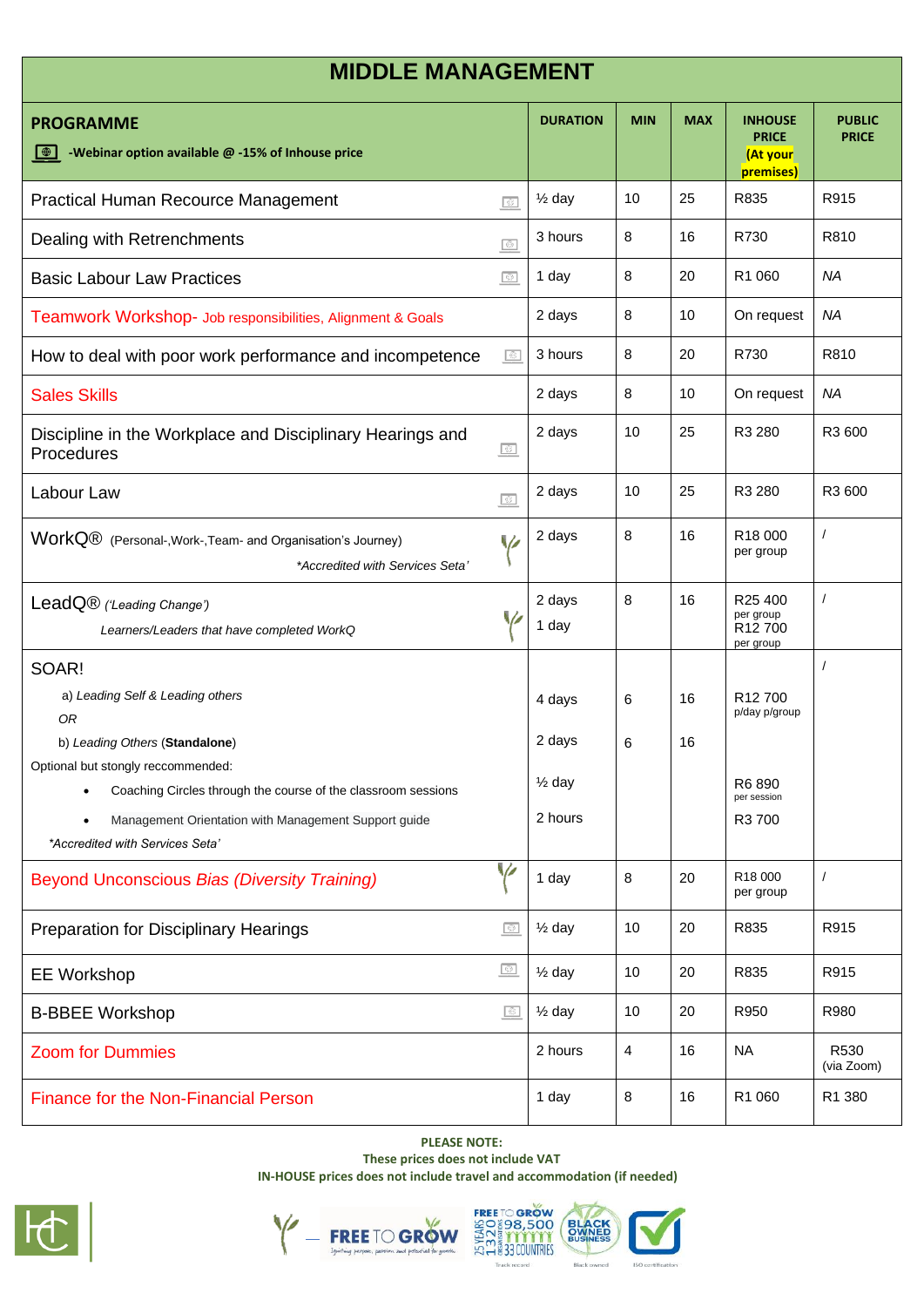## **[MIDDLE MANAGEMENT](#page-1-0)**

<span id="page-1-0"></span>

| <b>PROGRAMME</b><br>-Webinar option available @ -15% of Inhouse price<br>$\bigcirc$                                                                                                                                                                                                 |                  | <b>DURATION</b>                                  | <b>MIN</b> | <b>MAX</b> | <b>INHOUSE</b><br><b>PRICE</b><br>(At your<br>premises)                 | <b>PUBLIC</b><br><b>PRICE</b> |
|-------------------------------------------------------------------------------------------------------------------------------------------------------------------------------------------------------------------------------------------------------------------------------------|------------------|--------------------------------------------------|------------|------------|-------------------------------------------------------------------------|-------------------------------|
| <b>Practical Human Recource Management</b>                                                                                                                                                                                                                                          | $\circledcirc$   | $\frac{1}{2}$ day                                | 10         | 25         | R835                                                                    | R915                          |
| Dealing with Retrenchments                                                                                                                                                                                                                                                          | $\circ$          | 3 hours                                          | 8          | 16         | R730                                                                    | R810                          |
| <b>Basic Labour Law Practices</b>                                                                                                                                                                                                                                                   | $\circ$          | 1 day                                            | 8          | 20         | R1 060                                                                  | <b>NA</b>                     |
| Teamwork Workshop- Job responsibilities, Alignment & Goals                                                                                                                                                                                                                          |                  | 2 days                                           | 8          | 10         | On request                                                              | <b>NA</b>                     |
| How to deal with poor work performance and incompetence                                                                                                                                                                                                                             | $\circ$          | 3 hours                                          | 8          | 20         | R730                                                                    | R810                          |
| <b>Sales Skills</b>                                                                                                                                                                                                                                                                 |                  | 2 days                                           | 8          | 10         | On request                                                              | <b>NA</b>                     |
| Discipline in the Workplace and Disciplinary Hearings and<br>Procedures                                                                                                                                                                                                             | $\circ$          | 2 days                                           | 10         | 25         | R3 280                                                                  | R3 600                        |
| Labour Law                                                                                                                                                                                                                                                                          | $\boxed{\oplus}$ | 2 days                                           | 10         | 25         | R3 280                                                                  | R3 600                        |
| WorkQ® (Personal-, Work-, Team- and Organisation's Journey)<br>*Accredited with Services Seta'                                                                                                                                                                                      | V                | 2 days                                           | 8          | 16         | R18 000<br>per group                                                    | $\prime$                      |
| LeadQ® ('Leading Change')<br>Learners/Leaders that have completed WorkQ                                                                                                                                                                                                             |                  | 2 days<br>1 day                                  | 8          | 16         | R25 400<br>per group<br>R <sub>12</sub> 700<br>per group                | $\prime$                      |
| SOAR!<br>a) Leading Self & Leading others<br>0R<br>b) Leading Others (Standalone)<br>Optional but stongly reccommended:<br>Coaching Circles through the course of the classroom sessions<br>Management Orientation with Management Support guide<br>*Accredited with Services Seta' |                  | 4 days<br>2 days<br>$\frac{1}{2}$ day<br>2 hours | 6<br>6     | 16<br>16   | R <sub>12</sub> 700<br>p/day p/group<br>R6 890<br>per session<br>R3 700 |                               |
| <b>Beyond Unconscious Bias (Diversity Training)</b>                                                                                                                                                                                                                                 | V                | 1 day                                            | 8          | 20         | R18 000<br>per group                                                    | $\prime$                      |
| <b>Preparation for Disciplinary Hearings</b>                                                                                                                                                                                                                                        | $\circ$          | $\frac{1}{2}$ day                                | 10         | 20         | R835                                                                    | R915                          |
| <b>EE Workshop</b>                                                                                                                                                                                                                                                                  | $\circ$          | $\frac{1}{2}$ day                                | 10         | 20         | R835                                                                    | R915                          |
| <b>B-BBEE Workshop</b>                                                                                                                                                                                                                                                              | $\boxed{\oplus}$ | $\frac{1}{2}$ day                                | 10         | 20         | R950                                                                    | R980                          |
| <b>Zoom for Dummies</b>                                                                                                                                                                                                                                                             |                  | 2 hours                                          | 4          | 16         | <b>NA</b>                                                               | R530<br>(via Zoom)            |
| <b>Finance for the Non-Financial Person</b>                                                                                                                                                                                                                                         |                  | 1 day                                            | 8          | 16         | R <sub>1</sub> 060                                                      | R1 380                        |

**PLEASE NOTE: These prices does not include VAT IN-HOUSE prices does not include travel and accommodation (if needed)**







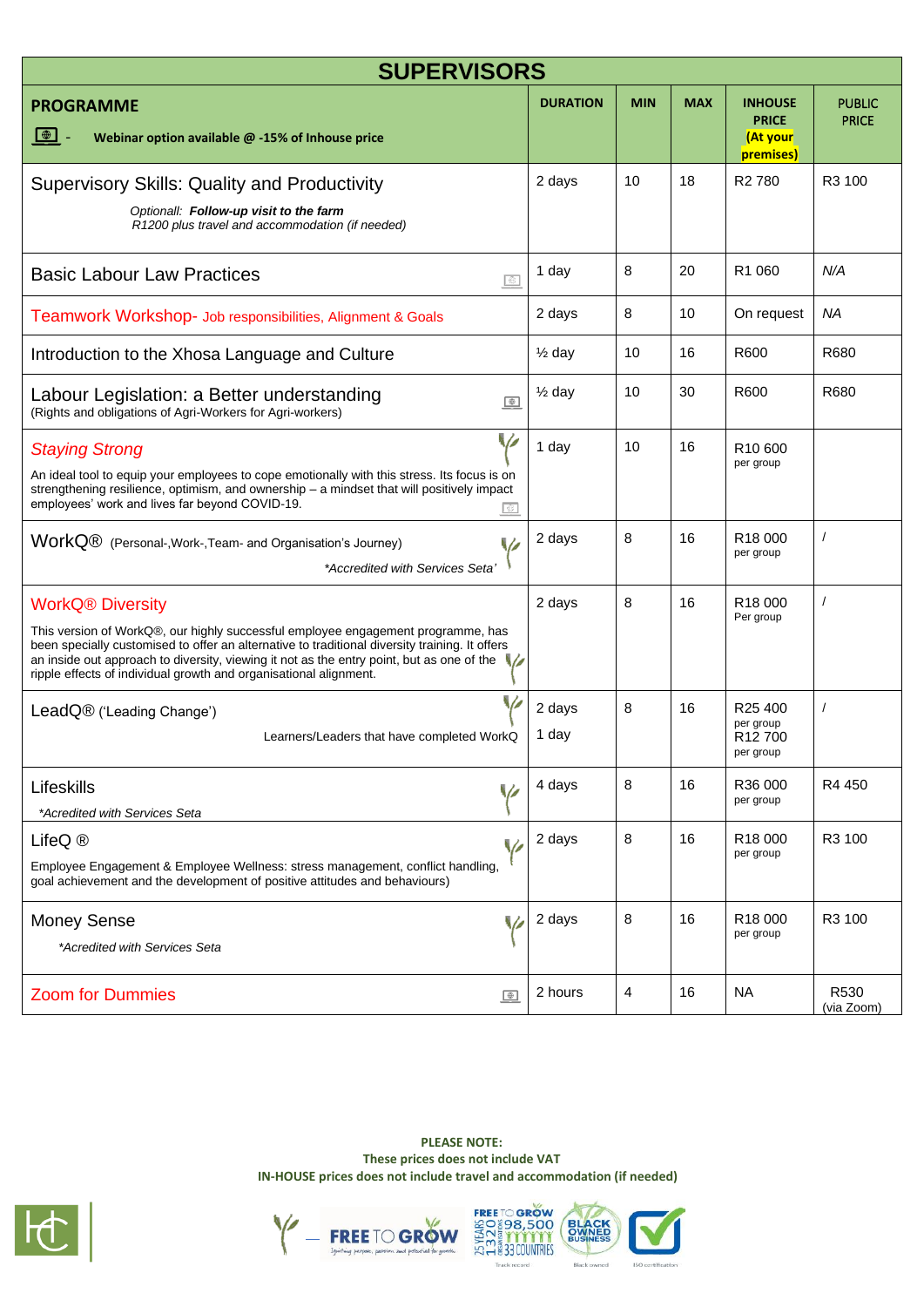<span id="page-2-0"></span>

| <b>SUPERVISORS</b>                                                                                                                                                                                                                                                                                                                                                                                           |                   |            |            |                                                                      |                               |  |
|--------------------------------------------------------------------------------------------------------------------------------------------------------------------------------------------------------------------------------------------------------------------------------------------------------------------------------------------------------------------------------------------------------------|-------------------|------------|------------|----------------------------------------------------------------------|-------------------------------|--|
| <b>PROGRAMME</b><br>$\bigoplus$<br>Webinar option available $@-15%$ of Inhouse price                                                                                                                                                                                                                                                                                                                         | <b>DURATION</b>   | <b>MIN</b> | <b>MAX</b> | <b>INHOUSE</b><br><b>PRICE</b><br>(At your<br>premises)              | <b>PUBLIC</b><br><b>PRICE</b> |  |
| <b>Supervisory Skills: Quality and Productivity</b><br>Optionall: Follow-up visit to the farm<br>R1200 plus travel and accommodation (if needed)                                                                                                                                                                                                                                                             | 2 days            | 10         | 18         | R <sub>2</sub> 780                                                   | R <sub>3</sub> 100            |  |
| <b>Basic Labour Law Practices</b><br>$\circ$                                                                                                                                                                                                                                                                                                                                                                 | 1 day             | 8          | 20         | R1 060                                                               | N/A                           |  |
| Teamwork Workshop- Job responsibilities, Alignment & Goals                                                                                                                                                                                                                                                                                                                                                   | 2 days            | 8          | 10         | On request                                                           | <b>NA</b>                     |  |
| Introduction to the Xhosa Language and Culture                                                                                                                                                                                                                                                                                                                                                               | $\frac{1}{2}$ day | 10         | 16         | R600                                                                 | R680                          |  |
| Labour Legislation: a Better understanding<br>$\blacksquare$<br>(Rights and obligations of Agri-Workers for Agri-workers)                                                                                                                                                                                                                                                                                    | $\frac{1}{2}$ day | 10         | 30         | R600                                                                 | R680                          |  |
| V<br><b>Staying Strong</b><br>An ideal tool to equip your employees to cope emotionally with this stress. Its focus is on<br>strengthening resilience, optimism, and ownership - a mindset that will positively impact<br>employees' work and lives far beyond COVID-19.<br>$\boxed{\circledcirc}$                                                                                                           | 1 day             | 10         | 16         | R <sub>10</sub> 600<br>per group                                     |                               |  |
| WorkQ® (Personal-, Work-, Team- and Organisation's Journey)<br>V<br>*Accredited with Services Seta                                                                                                                                                                                                                                                                                                           | 2 days            | 8          | 16         | R <sub>18</sub> 000<br>per group                                     |                               |  |
| <b>WorkQ<sup>®</sup></b> Diversity<br>This version of WorkQ®, our highly successful employee engagement programme, has<br>been specially customised to offer an alternative to traditional diversity training. It offers<br>an inside out approach to diversity, viewing it not as the entry point, but as one of the $\sqrt{\sqrt{ }}$<br>ripple effects of individual growth and organisational alignment. | 2 days            | 8          | 16         | R <sub>18</sub> 000<br>Per group                                     |                               |  |
| LeadQ® ('Leading Change')<br>Learners/Leaders that have completed WorkQ                                                                                                                                                                                                                                                                                                                                      | 2 days<br>1 day   | 8          | 16         | R <sub>25</sub> 400<br>per group<br>R <sub>12</sub> 700<br>per group |                               |  |
| Lifeskills<br>*Acredited with Services Seta                                                                                                                                                                                                                                                                                                                                                                  | 4 days            | 8          | 16         | R36 000<br>per group                                                 | R4 450                        |  |
| LifeQ $@$<br>V<br>Employee Engagement & Employee Wellness: stress management, conflict handling,<br>goal achievement and the development of positive attitudes and behaviours)                                                                                                                                                                                                                               | 2 days            | 8          | 16         | R <sub>18</sub> 000<br>per group                                     | R <sub>3</sub> 100            |  |
| <b>Money Sense</b><br>*Acredited with Services Seta                                                                                                                                                                                                                                                                                                                                                          | 2 days            | 8          | 16         | R <sub>18</sub> 000<br>per group                                     | R <sub>3</sub> 100            |  |
| <b>Zoom for Dummies</b><br>$\Box$                                                                                                                                                                                                                                                                                                                                                                            | 2 hours           | 4          | 16         | <b>NA</b>                                                            | R530<br>(via Zoom)            |  |

**PLEASE NOTE: These prices does not include VAT IN-HOUSE prices does not include travel and accommodation (if needed)**

 $Y -$ 



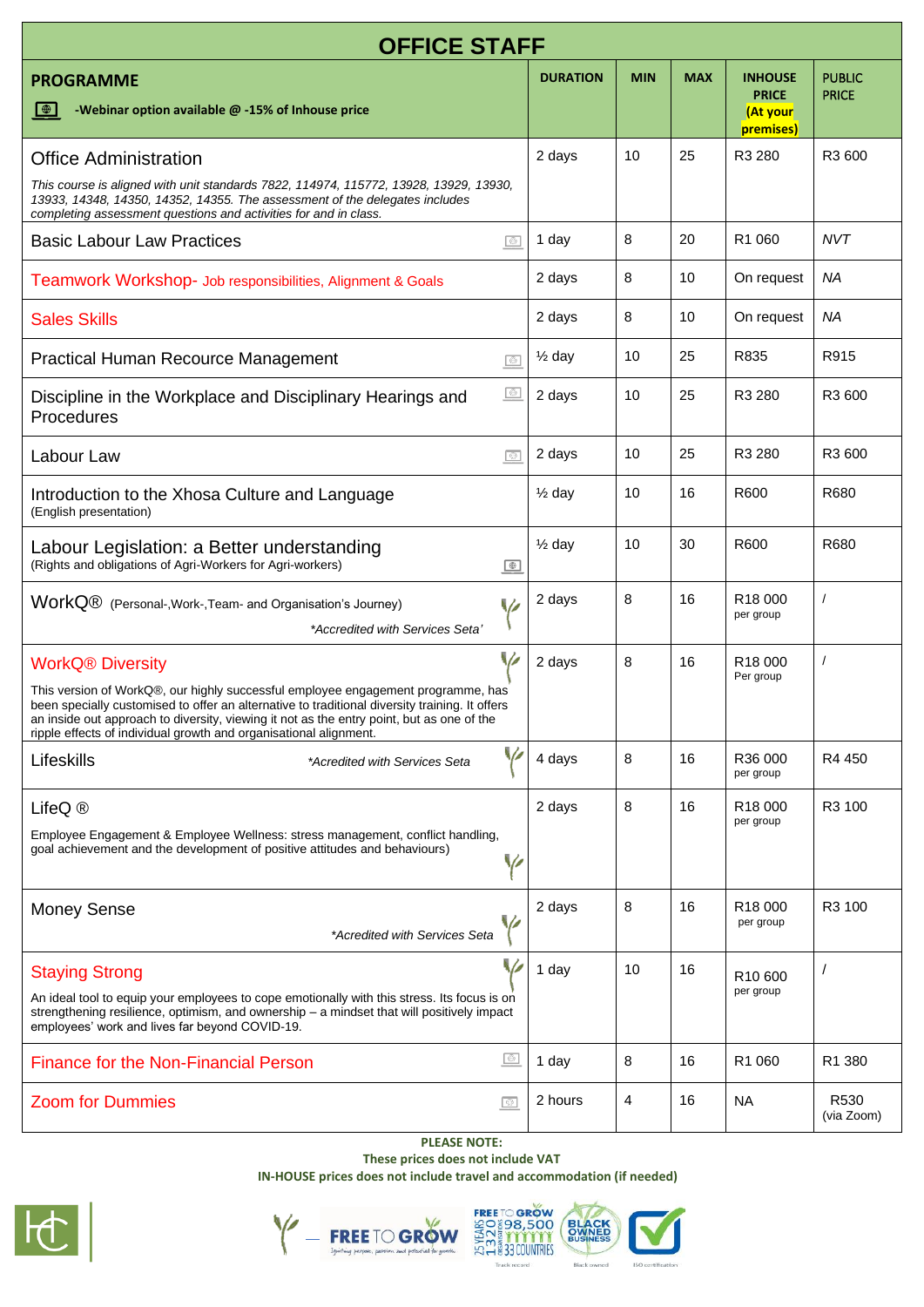<span id="page-3-0"></span>

| <b>OFFICE STAFF</b>                                                                                                                                                                                                                                                                                                                                                                  |                   |            |            |                                                         |                               |
|--------------------------------------------------------------------------------------------------------------------------------------------------------------------------------------------------------------------------------------------------------------------------------------------------------------------------------------------------------------------------------------|-------------------|------------|------------|---------------------------------------------------------|-------------------------------|
| <b>PROGRAMME</b><br>$ \oplus $<br>-Webinar option available @ -15% of Inhouse price                                                                                                                                                                                                                                                                                                  | <b>DURATION</b>   | <b>MIN</b> | <b>MAX</b> | <b>INHOUSE</b><br><b>PRICE</b><br>(At your<br>premises) | <b>PUBLIC</b><br><b>PRICE</b> |
| <b>Office Administration</b><br>This course is aligned with unit standards 7822, 114974, 115772, 13928, 13929, 13930,<br>13933, 14348, 14350, 14352, 14355. The assessment of the delegates includes<br>completing assessment questions and activities for and in class.                                                                                                             | 2 days            | 10         | 25         | R <sub>3</sub> 280                                      | R3 600                        |
| <b>Basic Labour Law Practices</b><br>$\circ$                                                                                                                                                                                                                                                                                                                                         | 1 day             | 8          | 20         | R1 060                                                  | <b>NVT</b>                    |
| Teamwork Workshop- Job responsibilities, Alignment & Goals                                                                                                                                                                                                                                                                                                                           | 2 days            | 8          | 10         | On request                                              | <b>NA</b>                     |
| <b>Sales Skills</b>                                                                                                                                                                                                                                                                                                                                                                  | 2 days            | 8          | 10         | On request                                              | <b>NA</b>                     |
| <b>Practical Human Recource Management</b><br>$\circ$                                                                                                                                                                                                                                                                                                                                | $\frac{1}{2}$ day | 10         | 25         | R835                                                    | R915                          |
| $\boxed{\odot}$<br>Discipline in the Workplace and Disciplinary Hearings and<br>Procedures                                                                                                                                                                                                                                                                                           | 2 days            | 10         | 25         | R <sub>3</sub> 280                                      | R3 600                        |
| Labour Law<br>$\odot$                                                                                                                                                                                                                                                                                                                                                                | 2 days            | 10         | 25         | R3 280                                                  | R3 600                        |
| Introduction to the Xhosa Culture and Language<br>(English presentation)                                                                                                                                                                                                                                                                                                             | $\frac{1}{2}$ day | 10         | 16         | R600                                                    | R680                          |
| Labour Legislation: a Better understanding<br>(Rights and obligations of Agri-Workers for Agri-workers)<br>$\Box$                                                                                                                                                                                                                                                                    | $\frac{1}{2}$ day | 10         | 30         | R600                                                    | R680                          |
| WorkQ® (Personal-, Work-, Team- and Organisation's Journey)<br>V<br>*Accredited with Services Seta'                                                                                                                                                                                                                                                                                  | 2 days            | 8          | 16         | R <sub>18</sub> 000<br>per group                        | $\prime$                      |
| ₩<br><b>WorkQ® Diversity</b><br>This version of WorkQ®, our highly successful employee engagement programme, has<br>been specially customised to offer an alternative to traditional diversity training. It offers<br>an inside out approach to diversity, viewing it not as the entry point, but as one of the<br>ripple effects of individual growth and organisational alignment. | 2 days            | 8          | 16         | R <sub>18</sub> 000<br>Per group                        |                               |
| ₩<br>Lifeskills<br>*Acredited with Services Seta                                                                                                                                                                                                                                                                                                                                     | 4 days            | 8          | 16         | R <sub>36</sub> 000<br>per group                        | R4 450                        |
| LifeQ $@$<br>Employee Engagement & Employee Wellness: stress management, conflict handling,<br>goal achievement and the development of positive attitudes and behaviours)<br>V                                                                                                                                                                                                       | 2 days            | 8          | 16         | R <sub>18</sub> 000<br>per group                        | R <sub>3</sub> 100            |
| <b>Money Sense</b><br>*Acredited with Services Seta                                                                                                                                                                                                                                                                                                                                  | 2 days            | 8          | 16         | R <sub>18</sub> 000<br>per group                        | R <sub>3</sub> 100            |
| <b>Staying Strong</b><br>An ideal tool to equip your employees to cope emotionally with this stress. Its focus is on<br>strengthening resilience, optimism, and ownership - a mindset that will positively impact<br>employees' work and lives far beyond COVID-19.                                                                                                                  | 1 day             | 10         | 16         | R <sub>10</sub> 600<br>per group                        |                               |
| $\boxed{\oplus}$<br><b>Finance for the Non-Financial Person</b>                                                                                                                                                                                                                                                                                                                      | 1 day             | 8          | 16         | R1 060                                                  | R <sub>1</sub> 380            |
| <b>Zoom for Dummies</b><br>$\circ$                                                                                                                                                                                                                                                                                                                                                   | 2 hours           | 4          | 16         | <b>NA</b>                                               | R530<br>(via Zoom)            |

**PLEASE NOTE: These prices does not include VAT**

 **IN-HOUSE prices does not include travel and accommodation (if needed)**







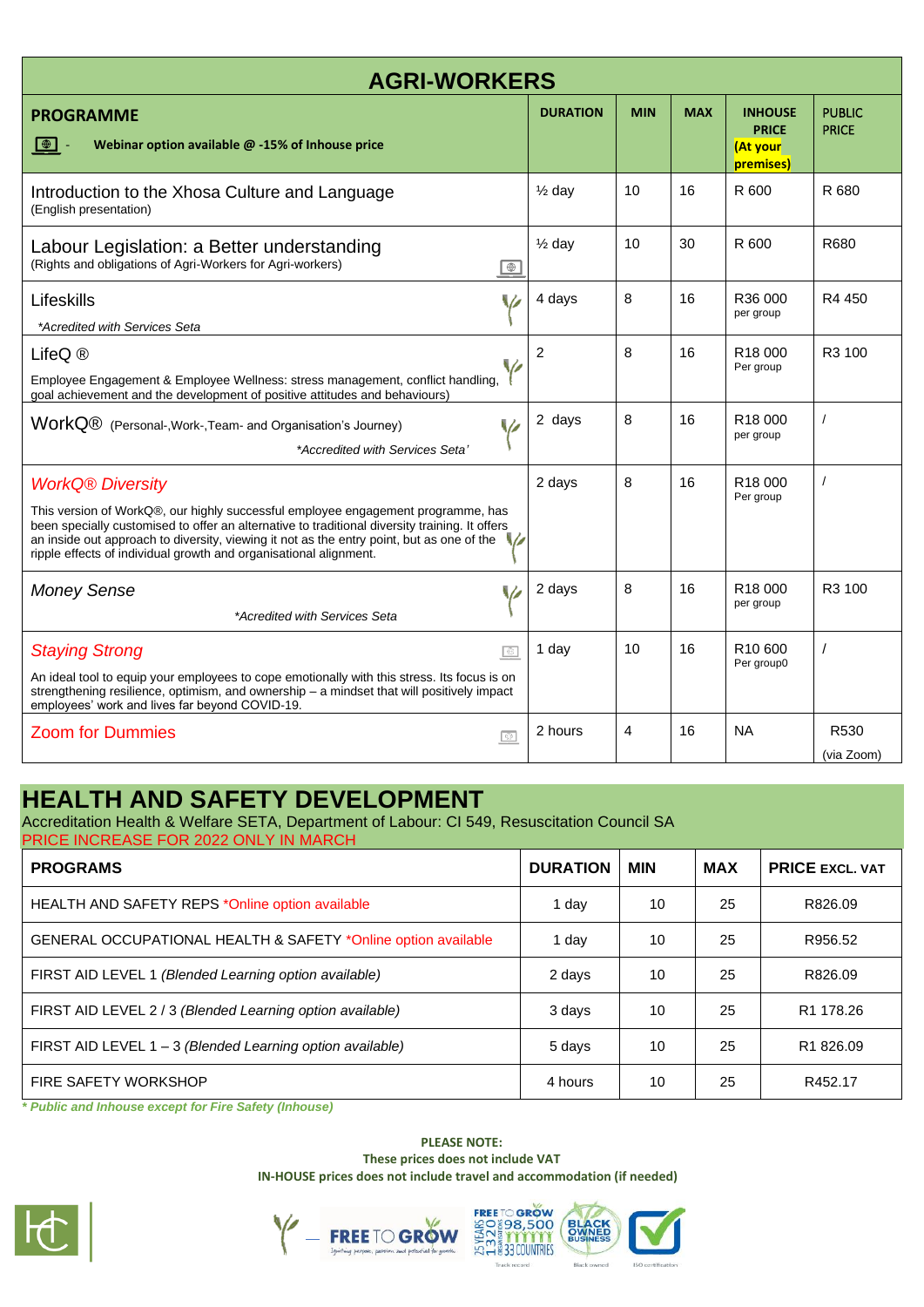<span id="page-4-0"></span>

| <b>AGRI-WORKERS</b>                                                                                                                                                                                                                                                                                                                                                             |                   |            |            |                                                         |                                |  |
|---------------------------------------------------------------------------------------------------------------------------------------------------------------------------------------------------------------------------------------------------------------------------------------------------------------------------------------------------------------------------------|-------------------|------------|------------|---------------------------------------------------------|--------------------------------|--|
| <b>PROGRAMME</b><br>I ⊕ I<br>Webinar option available @ -15% of Inhouse price                                                                                                                                                                                                                                                                                                   | <b>DURATION</b>   | <b>MIN</b> | <b>MAX</b> | <b>INHOUSE</b><br><b>PRICE</b><br>(At your<br>premises) | <b>PUBLIC</b><br><b>PRICE</b>  |  |
| Introduction to the Xhosa Culture and Language<br>(English presentation)                                                                                                                                                                                                                                                                                                        | $\frac{1}{2}$ day | 10         | 16         | R 600                                                   | R 680                          |  |
| Labour Legislation: a Better understanding<br>(Rights and obligations of Agri-Workers for Agri-workers)<br>$\overline{\bullet}$                                                                                                                                                                                                                                                 | $\frac{1}{2}$ day | 10         | 30         | R 600                                                   | R680                           |  |
| Lifeskills<br>V<br>*Acredited with Services Seta                                                                                                                                                                                                                                                                                                                                | 4 days            | 8          | 16         | R36 000<br>per group                                    | R4 450                         |  |
| LifeQ $@$<br>Employee Engagement & Employee Wellness: stress management, conflict handling,<br>goal achievement and the development of positive attitudes and behaviours)                                                                                                                                                                                                       | 2                 | 8          | 16         | R <sub>18</sub> 000<br>Per group                        | R <sub>3</sub> 100             |  |
| WorkQ® (Personal-, Work-, Team- and Organisation's Journey)<br>*Accredited with Services Seta'                                                                                                                                                                                                                                                                                  | 2 days            | 8          | 16         | R <sub>18</sub> 000<br>per group                        |                                |  |
| <b>WorkQ® Diversity</b><br>This version of WorkQ®, our highly successful employee engagement programme, has<br>been specially customised to offer an alternative to traditional diversity training. It offers<br>an inside out approach to diversity, viewing it not as the entry point, but as one of the<br>ripple effects of individual growth and organisational alignment. | 2 days            | 8          | 16         | R <sub>18</sub> 000<br>Per group                        |                                |  |
| <b>Money Sense</b><br>V<br>*Acredited with Services Seta                                                                                                                                                                                                                                                                                                                        | 2 days            | 8          | 16         | R18 000<br>per group                                    | R3 100                         |  |
| <b>Staying Strong</b><br>ि।<br>An ideal tool to equip your employees to cope emotionally with this stress. Its focus is on<br>strengthening resilience, optimism, and ownership - a mindset that will positively impact<br>employees' work and lives far beyond COVID-19.                                                                                                       | 1 day             | 10         | 16         | R <sub>10</sub> 600<br>Per group0                       |                                |  |
| <b>Zoom for Dummies</b><br>$\Theta$                                                                                                                                                                                                                                                                                                                                             | 2 hours           | 4          | 16         | <b>NA</b>                                               | R <sub>530</sub><br>(via Zoom) |  |

### <span id="page-4-1"></span>**HEALTH AND SAFETY DEVELOPMENT**

Accreditation Health & Welfare SETA, Department of Labour: CI 549, Resuscitation Council SA

| PRICE INCREASE FOR 2022 ONLY IN MARCH                         |                 |            |            |                        |
|---------------------------------------------------------------|-----------------|------------|------------|------------------------|
| <b>PROGRAMS</b>                                               | <b>DURATION</b> | <b>MIN</b> | <b>MAX</b> | <b>PRICE EXCL. VAT</b> |
| HEALTH AND SAFETY REPS *Online option available               | 1 day           | 10         | 25         | R826.09                |
| GENERAL OCCUPATIONAL HEALTH & SAFETY *Online option available | 1 day           | 10         | 25         | R956.52                |
| FIRST AID LEVEL 1 (Blended Learning option available)         | 2 days          | 10         | 25         | R826.09                |
| FIRST AID LEVEL 2/3 (Blended Learning option available)       | 3 days          | 10         | 25         | R <sub>1</sub> 178.26  |
| FIRST AID LEVEL $1 - 3$ (Blended Learning option available)   | 5 days          | 10         | 25         | R <sub>1</sub> 826.09  |
| FIRE SAFETY WORKSHOP                                          | 4 hours         | 10         | 25         | R452.17                |

*\* Public and Inhouse except for Fire Safety (Inhouse)*

#### **PLEASE NOTE: These prices does not include VAT**

 **IN-HOUSE prices does not include travel and accommodation (if needed)**







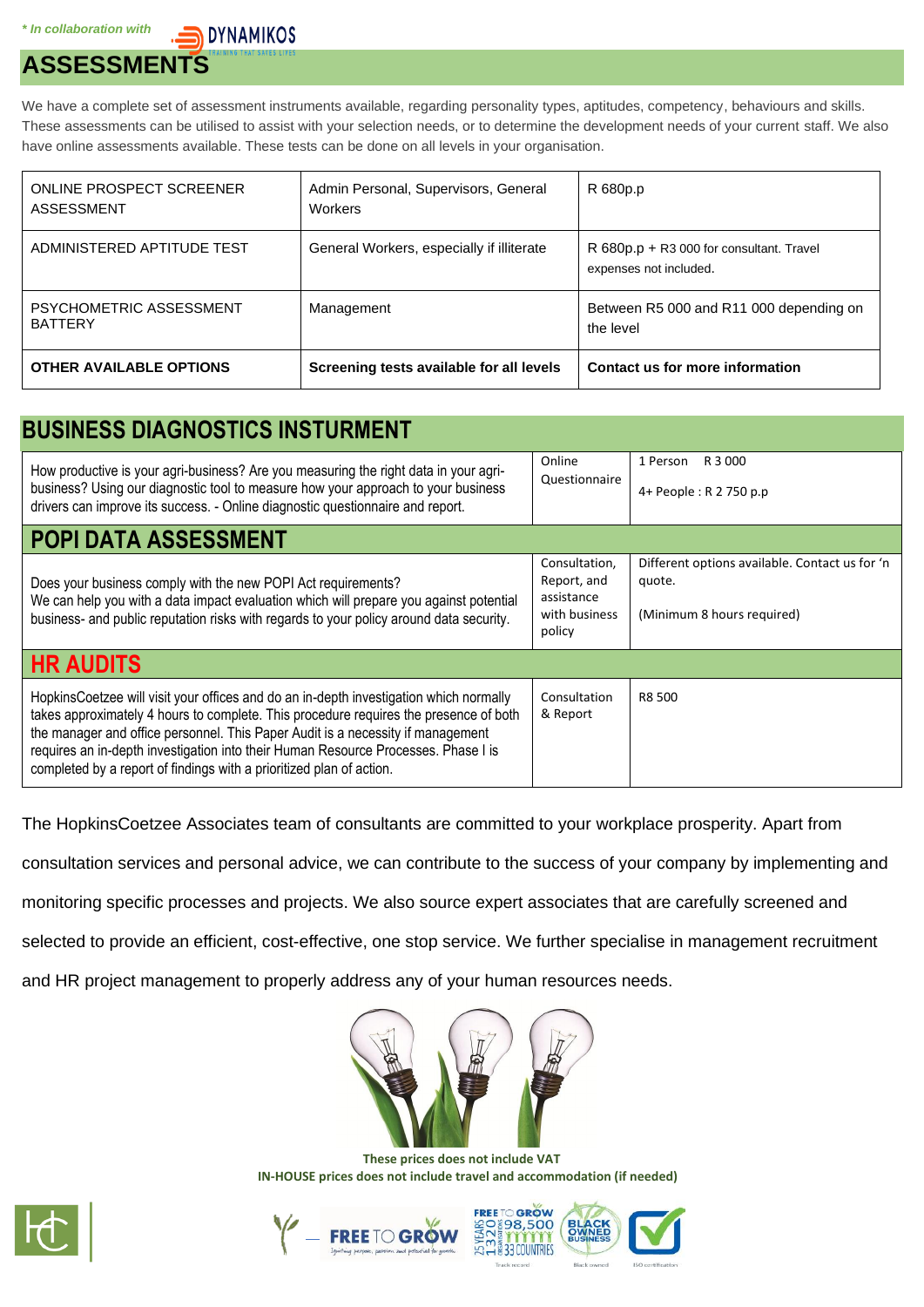**DYNAMIKOS** 

# <span id="page-5-0"></span>**ASSESSMENTS**

We have a complete set of assessment instruments available, regarding personality types, aptitudes, competency, behaviours and skills. These assessments can be utilised to assist with your selection needs, or to determine the development needs of your current staff. We also have online assessments available. These tests can be done on all levels in your organisation.

| ONLINE PROSPECT SCREENER<br><b>ASSESSMENT</b> | Admin Personal, Supervisors, General<br>Workers | R 680p.p                                                           |
|-----------------------------------------------|-------------------------------------------------|--------------------------------------------------------------------|
| ADMINISTERED APTITUDE TEST                    | General Workers, especially if illiterate       | R 680p.p + R3 000 for consultant. Travel<br>expenses not included. |
| PSYCHOMETRIC ASSESSMENT<br><b>BATTERY</b>     | Management                                      | Between R5 000 and R11 000 depending on<br>the level               |
| <b>OTHER AVAILABLE OPTIONS</b>                | Screening tests available for all levels        | Contact us for more information                                    |

### <span id="page-5-1"></span>**BUSINESS DIAGNOSTICS INSTURMENT**

<span id="page-5-2"></span>

| How productive is your agri-business? Are you measuring the right data in your agri-<br>business? Using our diagnostic tool to measure how your approach to your business<br>drivers can improve its success. - Online diagnostic questionnaire and report.                                                                                                                                                                      | Online<br>Questionnaire                                               | 1 Person<br>R 3 000<br>4+ People : R 2 750 p.p                                         |
|----------------------------------------------------------------------------------------------------------------------------------------------------------------------------------------------------------------------------------------------------------------------------------------------------------------------------------------------------------------------------------------------------------------------------------|-----------------------------------------------------------------------|----------------------------------------------------------------------------------------|
| <b>POPI DATA ASSESSMENT</b>                                                                                                                                                                                                                                                                                                                                                                                                      |                                                                       |                                                                                        |
| Does your business comply with the new POPI Act requirements?<br>We can help you with a data impact evaluation which will prepare you against potential<br>business- and public reputation risks with regards to your policy around data security.                                                                                                                                                                               | Consultation,<br>Report, and<br>assistance<br>with business<br>policy | Different options available. Contact us for 'n<br>quote.<br>(Minimum 8 hours required) |
| <b>HR AUDITS</b>                                                                                                                                                                                                                                                                                                                                                                                                                 |                                                                       |                                                                                        |
| HopkinsCoetzee will visit your offices and do an in-depth investigation which normally<br>takes approximately 4 hours to complete. This procedure requires the presence of both<br>the manager and office personnel. This Paper Audit is a necessity if management<br>requires an in-depth investigation into their Human Resource Processes. Phase I is<br>completed by a report of findings with a prioritized plan of action. | Consultation<br>& Report                                              | R8 500                                                                                 |

<span id="page-5-3"></span>The HopkinsCoetzee Associates team of consultants are committed to your workplace prosperity. Apart from

consultation services and personal advice, we can contribute to the success of your company by implementing and

monitoring specific processes and projects. We also source expert associates that are carefully screened and

selected to provide an efficient, cost-effective, one stop service. We further specialise in management recruitment

and HR project management to properly address any of your human resources needs.



**These prices does not include VAT IN-HOUSE prices does not include travel and accommodation (if needed)**